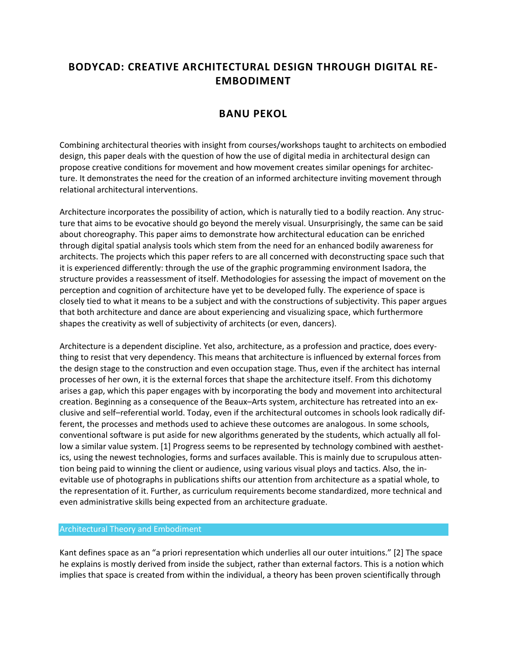# **BODYCAD: CREATIVE ARCHITECTURAL DESIGN THROUGH DIGITAL RE-EMBODIMENT**

# **BANU PEKOL**

Combining architectural theories with insight from courses/workshops taught to architects on embodied design, this paper deals with the question of how the use of digital media in architectural design can propose creative conditions for movement and how movement creates similar openings for architecture. It demonstrates the need for the creation of an informed architecture inviting movement through relational architectural interventions.

Architecture incorporates the possibility of action, which is naturally tied to a bodily reaction. Any structure that aims to be evocative should go beyond the merely visual. Unsurprisingly, the same can be said about choreography. This paper aims to demonstrate how architectural education can be enriched through digital spatial analysis tools which stem from the need for an enhanced bodily awareness for architects. The projects which this paper refers to are all concerned with deconstructing space such that it is experienced differently: through the use of the graphic programming environment Isadora, the structure provides a reassessment of itself. Methodologies for assessing the impact of movement on the perception and cognition of architecture have yet to be developed fully. The experience of space is closely tied to what it means to be a subject and with the constructions of subjectivity. This paper argues that both architecture and dance are about experiencing and visualizing space, which furthermore shapes the creativity as well of subjectivity of architects (or even, dancers).

Architecture is a dependent discipline. Yet also, architecture, as a profession and practice, does everything to resist that very dependency. This means that architecture is influenced by external forces from the design stage to the construction and even occupation stage. Thus, even if the architect has internal processes of her own, it is the external forces that shape the architecture itself. From this dichotomy arises a gap, which this paper engages with by incorporating the body and movement into architectural creation. Beginning as a consequence of the Beaux–Arts system, architecture has retreated into an exclusive and self–referential world. Today, even if the architectural outcomes in schools look radically different, the processes and methods used to achieve these outcomes are analogous. In some schools, conventional software is put aside for new algorithms generated by the students, which actually all follow a similar value system. [1] Progress seems to be represented by technology combined with aesthetics, using the newest technologies, forms and surfaces available. This is mainly due to scrupulous attention being paid to winning the client or audience, using various visual ploys and tactics. Also, the inevitable use of photographs in publications shifts our attention from architecture as a spatial whole, to the representation of it. Further, as curriculum requirements become standardized, more technical and even administrative skills being expected from an architecture graduate.

### Architectural Theory and Embodiment

Kant defines space as an "a priori representation which underlies all our outer intuitions." [2] The space he explains is mostly derived from inside the subject, rather than external factors. This is a notion which implies that space is created from within the individual, a theory has been proven scientifically through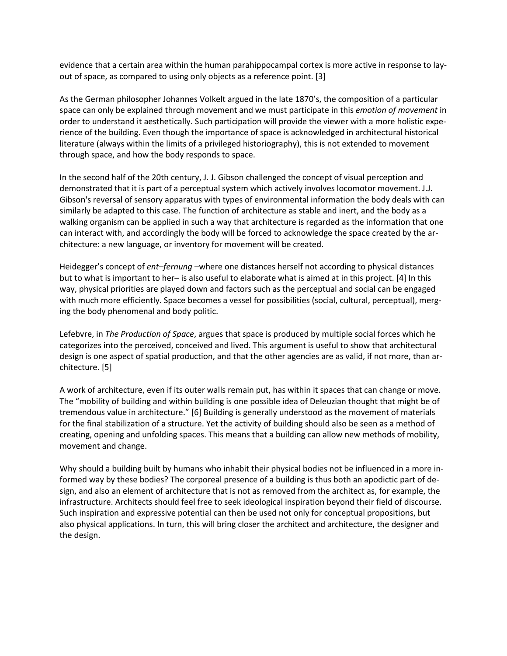evidence that a certain area within the human parahippocampal cortex is more active in response to layout of space, as compared to using only objects as a reference point. [3]

As the German philosopher Johannes Volkelt argued in the late 1870's, the composition of a particular space can only be explained through movement and we must participate in this *emotion of movement* in order to understand it aesthetically. Such participation will provide the viewer with a more holistic experience of the building. Even though the importance of space is acknowledged in architectural historical literature (always within the limits of a privileged historiography), this is not extended to movement through space, and how the body responds to space.

In the second half of the 20th century, J. J. Gibson challenged the concept of visual perception and demonstrated that it is part of a perceptual system which actively involves locomotor movement. J.J. Gibson's reversal of sensory apparatus with types of environmental information the body deals with can similarly be adapted to this case. The function of architecture as stable and inert, and the body as a walking organism can be applied in such a way that architecture is regarded as the information that one can interact with, and accordingly the body will be forced to acknowledge the space created by the architecture: a new language, or inventory for movement will be created.

Heidegger's concept of *ent–fernung* –where one distances herself not according to physical distances but to what is important to her– is also useful to elaborate what is aimed at in this project. [4] In this way, physical priorities are played down and factors such as the perceptual and social can be engaged with much more efficiently. Space becomes a vessel for possibilities (social, cultural, perceptual), merging the body phenomenal and body politic.

Lefebvre, in *The Production of Space*, argues that space is produced by multiple social forces which he categorizes into the perceived, conceived and lived. This argument is useful to show that architectural design is one aspect of spatial production, and that the other agencies are as valid, if not more, than architecture. [5]

A work of architecture, even if its outer walls remain put, has within it spaces that can change or move. The "mobility of building and within building is one possible idea of Deleuzian thought that might be of tremendous value in architecture." [6] Building is generally understood as the movement of materials for the final stabilization of a structure. Yet the activity of building should also be seen as a method of creating, opening and unfolding spaces. This means that a building can allow new methods of mobility, movement and change.

Why should a building built by humans who inhabit their physical bodies not be influenced in a more informed way by these bodies? The corporeal presence of a building is thus both an apodictic part of design, and also an element of architecture that is not as removed from the architect as, for example, the infrastructure. Architects should feel free to seek ideological inspiration beyond their field of discourse. Such inspiration and expressive potential can then be used not only for conceptual propositions, but also physical applications. In turn, this will bring closer the architect and architecture, the designer and the design.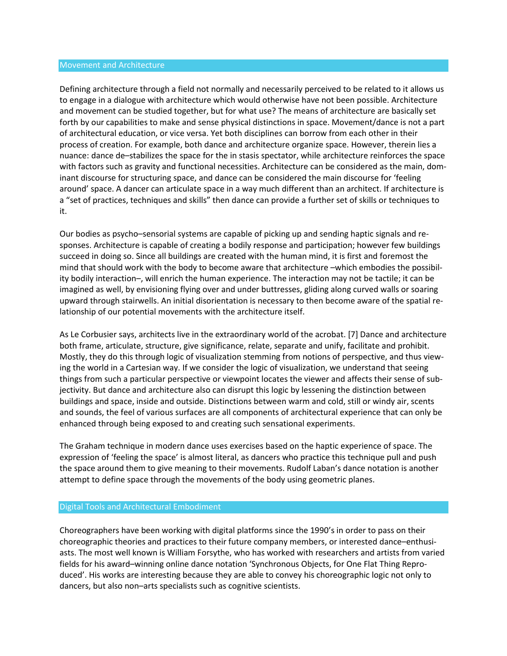#### Movement and Architecture

Defining architecture through a field not normally and necessarily perceived to be related to it allows us to engage in a dialogue with architecture which would otherwise have not been possible. Architecture and movement can be studied together, but for what use? The means of architecture are basically set forth by our capabilities to make and sense physical distinctions in space. Movement/dance is not a part of architectural education, or vice versa. Yet both disciplines can borrow from each other in their process of creation. For example, both dance and architecture organize space. However, therein lies a nuance: dance de–stabilizes the space for the in stasis spectator, while architecture reinforces the space with factors such as gravity and functional necessities. Architecture can be considered as the main, dominant discourse for structuring space, and dance can be considered the main discourse for 'feeling around' space. A dancer can articulate space in a way much different than an architect. If architecture is a "set of practices, techniques and skills" then dance can provide a further set of skills or techniques to it.

Our bodies as psycho–sensorial systems are capable of picking up and sending haptic signals and responses. Architecture is capable of creating a bodily response and participation; however few buildings succeed in doing so. Since all buildings are created with the human mind, it is first and foremost the mind that should work with the body to become aware that architecture –which embodies the possibility bodily interaction–, will enrich the human experience. The interaction may not be tactile; it can be imagined as well, by envisioning flying over and under buttresses, gliding along curved walls or soaring upward through stairwells. An initial disorientation is necessary to then become aware of the spatial relationship of our potential movements with the architecture itself.

As Le Corbusier says, architects live in the extraordinary world of the acrobat. [7] Dance and architecture both frame, articulate, structure, give significance, relate, separate and unify, facilitate and prohibit. Mostly, they do this through logic of visualization stemming from notions of perspective, and thus viewing the world in a Cartesian way. If we consider the logic of visualization, we understand that seeing things from such a particular perspective or viewpoint locates the viewer and affects their sense of subjectivity. But dance and architecture also can disrupt this logic by lessening the distinction between buildings and space, inside and outside. Distinctions between warm and cold, still or windy air, scents and sounds, the feel of various surfaces are all components of architectural experience that can only be enhanced through being exposed to and creating such sensational experiments.

The Graham technique in modern dance uses exercises based on the haptic experience of space. The expression of 'feeling the space' is almost literal, as dancers who practice this technique pull and push the space around them to give meaning to their movements. Rudolf Laban's dance notation is another attempt to define space through the movements of the body using geometric planes.

### Digital Tools and Architectural Embodiment

Choreographers have been working with digital platforms since the 1990's in order to pass on their choreographic theories and practices to their future company members, or interested dance–enthusiasts. The most well known is William Forsythe, who has worked with researchers and artists from varied fields for his award–winning online dance notation 'Synchronous Objects, for One Flat Thing Reproduced'. His works are interesting because they are able to convey his choreographic logic not only to dancers, but also non–arts specialists such as cognitive scientists.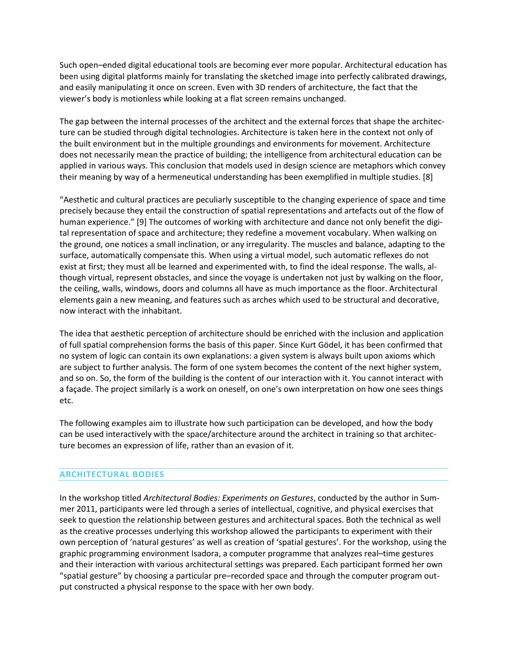Such open–ended digital educational tools are becoming ever more popular. Architectural education has been using digital platforms mainly for translating the sketched image into perfectly calibrated drawings, and easily manipulating it once on screen. Even with 3D renders of architecture, the fact that the viewer's body is motionless while looking at a flat screen remains unchanged.

The gap between the internal processes of the architect and the external forces that shape the architecture can be studied through digital technologies. Architecture is taken here in the context not only of the built environment but in the multiple groundings and environments for movement. Architecture does not necessarily mean the practice of building; the intelligence from architectural education can be applied in various ways. This conclusion that models used in design science are metaphors which convey their meaning by way of a hermeneutical understanding has been exemplified in multiple studies. [8]

"Aesthetic and cultural practices are peculiarly susceptible to the changing experience of space and time precisely because they entail the construction of spatial representations and artefacts out of the flow of human experience." [9] The outcomes of working with architecture and dance not only benefit the digital representation of space and architecture; they redefine a movement vocabulary. When walking on the ground, one notices a small inclination, or any irregularity. The muscles and balance, adapting to the surface, automatically compensate this. When using a virtual model, such automatic reflexes do not exist at first; they must all be learned and experimented with, to find the ideal response. The walls, although virtual, represent obstacles, and since the voyage is undertaken not just by walking on the floor, the ceiling, walls, windows, doors and columns all have as much importance as the floor. Architectural elements gain a new meaning, and features such as arches which used to be structural and decorative, now interact with the inhabitant.

The idea that aesthetic perception of architecture should be enriched with the inclusion and application of full spatial comprehension forms the basis of this paper. Since Kurt Gödel, it has been confirmed that no system of logic can contain its own explanations: a given system is always built upon axioms which are subject to further analysis. The form of one system becomes the content of the next higher system, and so on. So, the form of the building is the content of our interaction with it. You cannot interact with a façade. The project similarly is a work on oneself, on one's own interpretation on how one sees things etc.

The following examples aim to illustrate how such participation can be developed, and how the body can be used interactively with the space/architecture around the architect in training so that architecture becomes an expression of life, rather than an evasion of it.

## **ARCHITECTURAL BODIES**

In the workshop titled *Architectural Bodies: Experiments on Gestures*, conducted by the author in Summer 2011, participants were led through a series of intellectual, cognitive, and physical exercises that seek to question the relationship between gestures and architectural spaces. Both the technical as well as the creative processes underlying this workshop allowed the participants to experiment with their own perception of 'natural gestures' as well as creation of 'spatial gestures'. For the workshop, using the graphic programming environment Isadora, a computer programme that analyzes real–time gestures and their interaction with various architectural settings was prepared. Each participant formed her own "spatial gesture" by choosing a particular pre–recorded space and through the computer program output constructed a physical response to the space with her own body.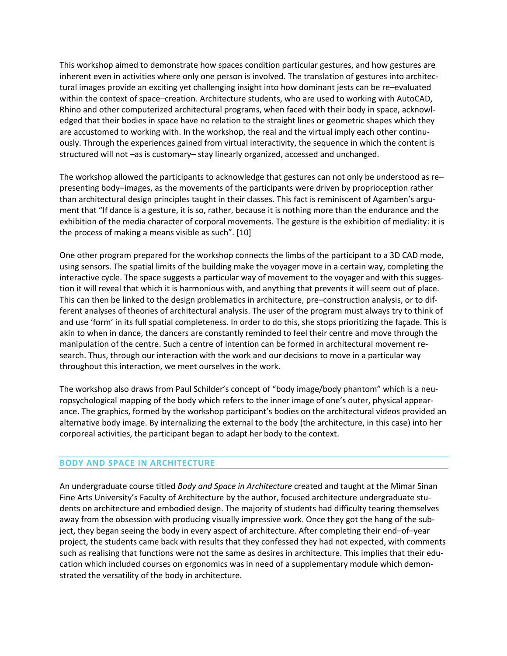This workshop aimed to demonstrate how spaces condition particular gestures, and how gestures are inherent even in activities where only one person is involved. The translation of gestures into architectural images provide an exciting yet challenging insight into how dominant jests can be re–evaluated within the context of space–creation. Architecture students, who are used to working with AutoCAD, Rhino and other computerized architectural programs, when faced with their body in space, acknowledged that their bodies in space have no relation to the straight lines or geometric shapes which they are accustomed to working with. In the workshop, the real and the virtual imply each other continuously. Through the experiences gained from virtual interactivity, the sequence in which the content is structured will not –as is customary– stay linearly organized, accessed and unchanged.

The workshop allowed the participants to acknowledge that gestures can not only be understood as re– presenting body–images, as the movements of the participants were driven by proprioception rather than architectural design principles taught in their classes. This fact is reminiscent of Agamben's argument that "If dance is a gesture, it is so, rather, because it is nothing more than the endurance and the exhibition of the media character of corporal movements. The gesture is the exhibition of mediality: it is the process of making a means visible as such". [10]

One other program prepared for the workshop connects the limbs of the participant to a 3D CAD mode, using sensors. The spatial limits of the building make the voyager move in a certain way, completing the interactive cycle. The space suggests a particular way of movement to the voyager and with this suggestion it will reveal that which it is harmonious with, and anything that prevents it will seem out of place. This can then be linked to the design problematics in architecture, pre–construction analysis, or to different analyses of theories of architectural analysis. The user of the program must always try to think of and use 'form' in its full spatial completeness. In order to do this, she stops prioritizing the façade. This is akin to when in dance, the dancers are constantly reminded to feel their centre and move through the manipulation of the centre. Such a centre of intention can be formed in architectural movement research. Thus, through our interaction with the work and our decisions to move in a particular way throughout this interaction, we meet ourselves in the work.

The workshop also draws from Paul Schilder's concept of "body image/body phantom" which is a neuropsychological mapping of the body which refers to the inner image of one's outer, physical appearance. The graphics, formed by the workshop participant's bodies on the architectural videos provided an alternative body image. By internalizing the external to the body (the architecture, in this case) into her corporeal activities, the participant began to adapt her body to the context.

## **BODY AND SPACE IN ARCHITECTURE**

An undergraduate course titled *Body and Space in Architecture* created and taught at the Mimar Sinan Fine Arts University's Faculty of Architecture by the author, focused architecture undergraduate students on architecture and embodied design. The majority of students had difficulty tearing themselves away from the obsession with producing visually impressive work. Once they got the hang of the subject, they began seeing the body in every aspect of architecture. After completing their end–of–year project, the students came back with results that they confessed they had not expected, with comments such as realising that functions were not the same as desires in architecture. This implies that their education which included courses on ergonomics was in need of a supplementary module which demonstrated the versatility of the body in architecture.